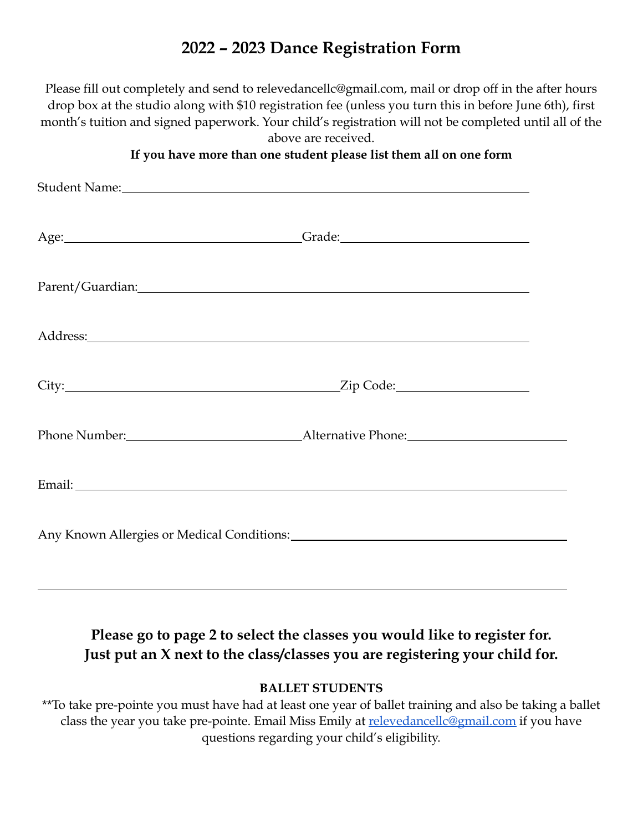# **2022 – 2023 Dance Registration Form**

Please fill out completely and send to relevedancell[c@gmail.com,](mailto:misskatiesdancestudio@yahoo.com) mail or drop off in the after hours drop box at the studio along with \$10 registration fee (unless you turn this in before June 6th), first month's tuition and signed paperwork. Your child's registration will not be completed until all of the above are received.

#### **If you have more than one student please list them all on one form**

| Student Name: Name and Student Name and Student Name and Student Name and Student Name and Student Name and Student Name and Student Name and Student Name and Student Name and Student Name and Student Name and Student Name |  |
|--------------------------------------------------------------------------------------------------------------------------------------------------------------------------------------------------------------------------------|--|
|                                                                                                                                                                                                                                |  |
|                                                                                                                                                                                                                                |  |
|                                                                                                                                                                                                                                |  |
|                                                                                                                                                                                                                                |  |
|                                                                                                                                                                                                                                |  |
|                                                                                                                                                                                                                                |  |
|                                                                                                                                                                                                                                |  |

## **Please go to page 2 to select the classes you would like to register for. Just put an X next to the class/classes you are registering your child for.**

#### **BALLET STUDENTS**

\*\*To take pre-pointe you must have had at least one year of ballet training and also be taking a ballet class the year you take pre-pointe. Email Miss Emily at [relevedancellc@gmail.com](mailto:relevedancellc@gmail.com) if you have questions regarding your child's eligibility.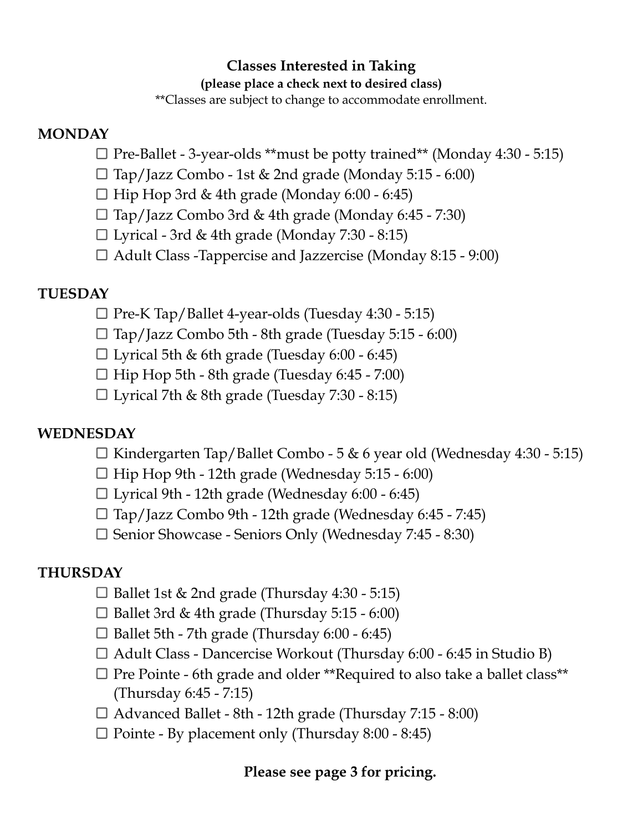## **Classes Interested in Taking**

#### **(please place a check next to desired class)**

\*\*Classes are subject to change to accommodate enrollment.

### **MONDAY**

- $\Box$  Pre-Ballet 3-year-olds \*\*must be potty trained\*\* (Monday 4:30 5:15)
- $\Box$  Tap/Jazz Combo 1st & 2nd grade (Monday 5:15 6:00)
- $\Box$  Hip Hop 3rd & 4th grade (Monday 6:00 6:45)
- $\Box$  Tap/Jazz Combo 3rd & 4th grade (Monday 6:45 7:30)
- $\square$  Lyrical 3rd & 4th grade (Monday 7:30 8:15)
- Adult Class -Tappercise and Jazzercise (Monday 8:15 9:00)

## **TUESDAY**

- $\Box$  Pre-K Tap/Ballet 4-year-olds (Tuesday 4:30 5:15)
- $\Box$  Tap/Jazz Combo 5th 8th grade (Tuesday 5:15 6:00)
- $\square$  Lyrical 5th & 6th grade (Tuesday 6:00 6:45)
- $\Box$  Hip Hop 5th 8th grade (Tuesday 6:45 7:00)
- $\Box$  Lyrical 7th & 8th grade (Tuesday 7:30 8:15)

### **WEDNESDAY**

- $\Box$  Kindergarten Tap/Ballet Combo 5 & 6 year old (Wednesday 4:30 5:15)
- $\Box$  Hip Hop 9th 12th grade (Wednesday 5:15 6:00)
- $\square$  Lyrical 9th 12th grade (Wednesday 6:00 6:45)
- $\Box$  Tap/Jazz Combo 9th 12th grade (Wednesday 6:45 7:45)
- Senior Showcase Seniors Only (Wednesday 7:45 8:30)

### **THURSDAY**

- $\Box$  Ballet 1st & 2nd grade (Thursday 4:30 5:15)
- $\Box$  Ballet 3rd & 4th grade (Thursday 5:15 6:00)
- $\Box$  Ballet 5th 7th grade (Thursday 6:00 6:45)
- $\Box$  Adult Class Dancercise Workout (Thursday 6:00 6:45 in Studio B)
- $\Box$  Pre Pointe 6th grade and older \*\*Required to also take a ballet class\*\* (Thursday 6:45 - 7:15)
- $\Box$  Advanced Ballet 8th 12th grade (Thursday 7:15 8:00)
- $\Box$  Pointe By placement only (Thursday 8:00 8:45)

## **Please see page 3 for pricing.**